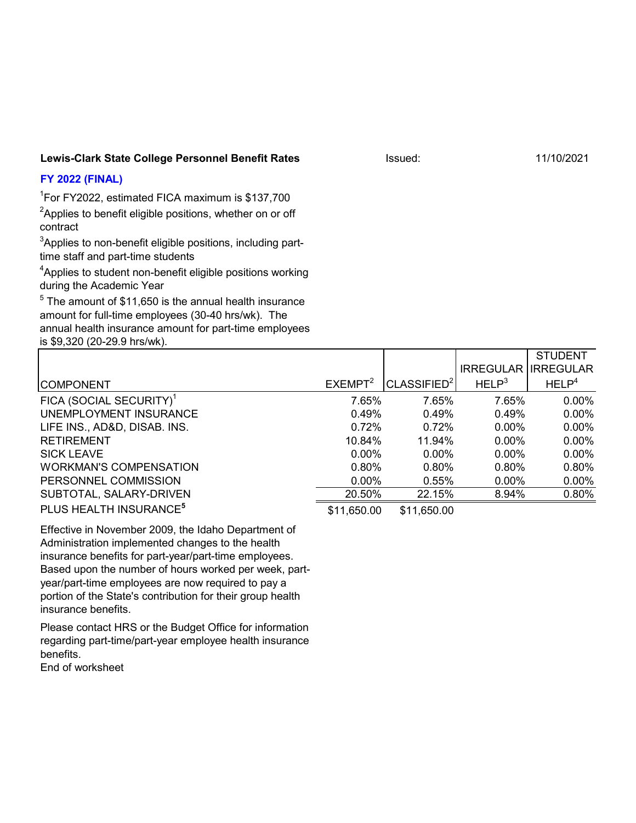## **Lewis-Clark State College Personnel Benefit Rates**

## **FY 2022 (FINAL)**

1 For FY2022, estimated FICA maximum is \$137,700

 $^2$ Applies to benefit eligible positions, whether on or off contract

 $^3$ Applies to non-benefit eligible positions, including parttime staff and part-time students

 ${\rm ^4}$ Applies to student non-benefit eligible positions working during the Academic Year

 $^5$  The amount of  $$11,650$  is the annual health insurance amount for full-time employees (30-40 hrs/wk). The annual health insurance amount for part-time employees is \$9,320 (20-29.9 hrs/wk).

|                                     |                     |                         |                   | <b>SIUDENI</b>             |
|-------------------------------------|---------------------|-------------------------|-------------------|----------------------------|
|                                     |                     |                         |                   | <b>IRREGULAR IRREGULAR</b> |
| <b>COMPONENT</b>                    | EXEMPT <sup>2</sup> | CLASSIFIED <sup>2</sup> | HELP <sup>3</sup> | HELP <sup>4</sup>          |
| FICA (SOCIAL SECURITY) <sup>1</sup> | 7.65%               | 7.65%                   | 7.65%             | $0.00\%$                   |
| UNEMPLOYMENT INSURANCE              | 0.49%               | 0.49%                   | 0.49%             | $0.00\%$                   |
| LIFE INS., AD&D, DISAB. INS.        | $0.72\%$            | 0.72%                   | $0.00\%$          | $0.00\%$                   |
| <b>RETIREMENT</b>                   | 10.84%              | 11.94%                  | $0.00\%$          | $0.00\%$                   |
| <b>SICK LEAVE</b>                   | $0.00\%$            | $0.00\%$                | $0.00\%$          | $0.00\%$                   |
| <b>WORKMAN'S COMPENSATION</b>       | 0.80%               | $0.80\%$                | 0.80%             | 0.80%                      |
| PERSONNEL COMMISSION                | $0.00\%$            | 0.55%                   | $0.00\%$          | $0.00\%$                   |
| SUBTOTAL, SALARY-DRIVEN             | 20.50%              | 22.15%                  | 8.94%             | 0.80%                      |
| PLUS HEALTH INSURANCE <sup>5</sup>  | \$11,650.00         | \$11,650.00             |                   |                            |

Effective in November 2009, the Idaho Department of Administration implemented changes to the health insurance benefits for part-year/part-time employees. Based upon the number of hours worked per week, partyear/part-time employees are now required to pay a portion of the State's contribution for their group health insurance benefits.

Please contact HRS or the Budget Office for information regarding part-time/part-year employee health insurance benefits.

End of worksheet

Issued: 11/10/2021

 $S$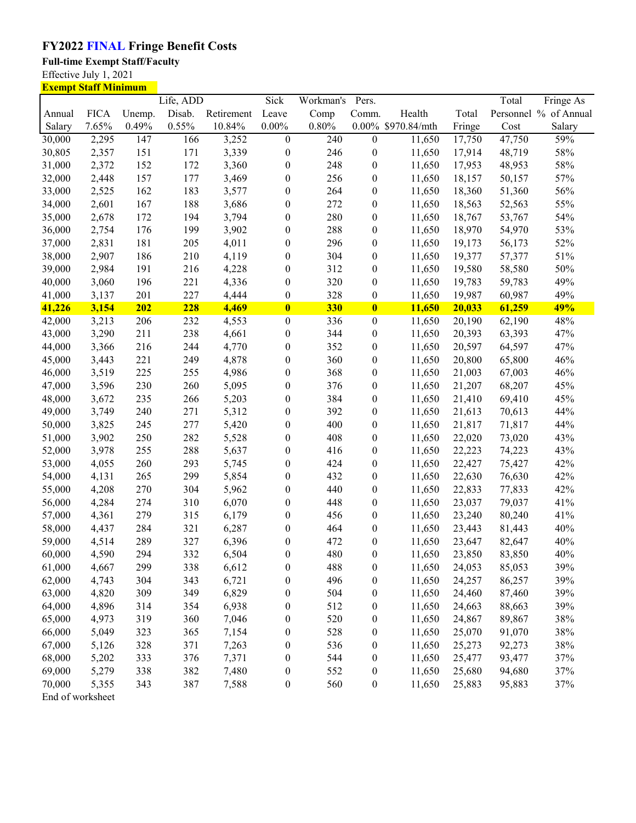## **FY2022 FINAL Fringe Benefit Costs**

**Full-time Exempt Staff/Faculty** 

Effective July 1, 2021

| <b>Exempt Staff Minimum</b> |             |        |           |            |                  |           |                  |                    |        |        |                       |
|-----------------------------|-------------|--------|-----------|------------|------------------|-----------|------------------|--------------------|--------|--------|-----------------------|
|                             |             |        | Life, ADD |            | Sick             | Workman's | Pers.            |                    |        | Total  | Fringe As             |
| Annual                      | <b>FICA</b> | Unemp. | Disab.    | Retirement | Leave            | Comp      | Comm.            | Health             | Total  |        | Personnel % of Annual |
| Salary                      | 7.65%       | 0.49%  | 0.55%     | 10.84%     | $0.00\%$         | 0.80%     |                  | 0.00% \$970.84/mth | Fringe | Cost   | Salary                |
| 30,000                      | 2,295       | 147    | 166       | 3,252      | $\boldsymbol{0}$ | 240       | $\boldsymbol{0}$ | 11,650             | 17,750 | 47,750 | 59%                   |
| 30,805                      | 2,357       | 151    | 171       | 3,339      | $\boldsymbol{0}$ | 246       | $\boldsymbol{0}$ | 11,650             | 17,914 | 48,719 | 58%                   |
| 31,000                      | 2,372       | 152    | 172       | 3,360      | $\boldsymbol{0}$ | 248       | 0                | 11,650             | 17,953 | 48,953 | 58%                   |
| 32,000                      | 2,448       | 157    | 177       | 3,469      | $\boldsymbol{0}$ | 256       | $\boldsymbol{0}$ | 11,650             | 18,157 | 50,157 | 57%                   |
| 33,000                      | 2,525       | 162    | 183       | 3,577      | $\boldsymbol{0}$ | 264       | $\boldsymbol{0}$ | 11,650             | 18,360 | 51,360 | 56%                   |
| 34,000                      | 2,601       | 167    | 188       | 3,686      | $\boldsymbol{0}$ | 272       | $\boldsymbol{0}$ | 11,650             | 18,563 | 52,563 | 55%                   |
| 35,000                      | 2,678       | 172    | 194       | 3,794      | $\boldsymbol{0}$ | 280       | $\boldsymbol{0}$ | 11,650             | 18,767 | 53,767 | 54%                   |
| 36,000                      | 2,754       | 176    | 199       | 3,902      | $\boldsymbol{0}$ | 288       | $\boldsymbol{0}$ | 11,650             | 18,970 | 54,970 | 53%                   |
| 37,000                      | 2,831       | 181    | 205       | 4,011      | $\boldsymbol{0}$ | 296       | $\boldsymbol{0}$ | 11,650             | 19,173 | 56,173 | 52%                   |
| 38,000                      | 2,907       | 186    | 210       | 4,119      | $\boldsymbol{0}$ | 304       | $\boldsymbol{0}$ | 11,650             | 19,377 | 57,377 | 51%                   |
| 39,000                      | 2,984       | 191    | 216       | 4,228      | $\boldsymbol{0}$ | 312       | $\boldsymbol{0}$ | 11,650             | 19,580 | 58,580 | 50%                   |
| 40,000                      | 3,060       | 196    | 221       | 4,336      | $\boldsymbol{0}$ | 320       | $\boldsymbol{0}$ | 11,650             | 19,783 | 59,783 | 49%                   |
| 41,000                      | 3,137       | 201    | 227       | 4,444      | $\boldsymbol{0}$ | 328       | $\boldsymbol{0}$ | 11,650             | 19,987 | 60,987 | 49%                   |
| 41,226                      | 3,154       | 202    | 228       | 4,469      | $\bf{0}$         | 330       | $\bf{0}$         | 11,650             | 20,033 | 61,259 | 49%                   |
| 42,000                      | 3,213       | 206    | 232       | 4,553      | $\boldsymbol{0}$ | 336       | $\boldsymbol{0}$ | 11,650             | 20,190 | 62,190 | 48%                   |
| 43,000                      | 3,290       | 211    | 238       | 4,661      | $\boldsymbol{0}$ | 344       | $\boldsymbol{0}$ | 11,650             | 20,393 | 63,393 | 47%                   |
| 44,000                      | 3,366       | 216    | 244       | 4,770      | $\boldsymbol{0}$ | 352       | $\boldsymbol{0}$ | 11,650             | 20,597 | 64,597 | 47%                   |
| 45,000                      | 3,443       | 221    | 249       | 4,878      | $\boldsymbol{0}$ | 360       | $\boldsymbol{0}$ | 11,650             | 20,800 | 65,800 | 46%                   |
| 46,000                      | 3,519       | 225    | 255       | 4,986      | $\boldsymbol{0}$ | 368       | $\boldsymbol{0}$ | 11,650             | 21,003 | 67,003 | 46%                   |
| 47,000                      | 3,596       | 230    | 260       | 5,095      | $\boldsymbol{0}$ | 376       | $\boldsymbol{0}$ | 11,650             | 21,207 | 68,207 | 45%                   |
| 48,000                      | 3,672       | 235    | 266       | 5,203      | $\boldsymbol{0}$ | 384       | $\boldsymbol{0}$ | 11,650             | 21,410 | 69,410 | 45%                   |
| 49,000                      | 3,749       | 240    | 271       | 5,312      | $\boldsymbol{0}$ | 392       | 0                | 11,650             | 21,613 | 70,613 | 44%                   |
| 50,000                      | 3,825       | 245    | 277       | 5,420      | $\boldsymbol{0}$ | 400       | $\boldsymbol{0}$ | 11,650             | 21,817 | 71,817 | 44%                   |
| 51,000                      | 3,902       | 250    | 282       | 5,528      | $\boldsymbol{0}$ | 408       | $\boldsymbol{0}$ | 11,650             | 22,020 | 73,020 | 43%                   |
| 52,000                      | 3,978       | 255    | 288       | 5,637      | $\boldsymbol{0}$ | 416       | $\boldsymbol{0}$ | 11,650             | 22,223 | 74,223 | 43%                   |
| 53,000                      | 4,055       | 260    | 293       | 5,745      | $\boldsymbol{0}$ | 424       | $\boldsymbol{0}$ | 11,650             | 22,427 | 75,427 | 42%                   |
| 54,000                      | 4,131       | 265    | 299       | 5,854      | $\boldsymbol{0}$ | 432       | $\boldsymbol{0}$ | 11,650             | 22,630 | 76,630 | 42%                   |
| 55,000                      | 4,208       | 270    | 304       | 5,962      | $\boldsymbol{0}$ | 440       | 0                | 11,650             | 22,833 | 77,833 | 42%                   |
| 56,000                      | 4,284       | 274    | 310       | 6,070      | $\boldsymbol{0}$ | 448       | $\boldsymbol{0}$ | 11,650             | 23,037 | 79,037 | 41%                   |
| 57,000                      | 4,361       | 279    | 315       | 6,179      | $\boldsymbol{0}$ | 456       | $\boldsymbol{0}$ | 11,650             | 23,240 | 80,240 | 41%                   |
| 58,000                      | 4,437       | 284    | 321       | 6,287      | $\boldsymbol{0}$ | 464       | $\boldsymbol{0}$ | 11,650             | 23,443 | 81,443 | 40%                   |
| 59,000                      | 4,514       | 289    | 327       | 6,396      | $\boldsymbol{0}$ | 472       | 0                | 11,650             | 23,647 | 82,647 | 40%                   |
| 60,000                      | 4,590       | 294    | 332       | 6,504      | $\boldsymbol{0}$ | 480       | $\boldsymbol{0}$ | 11,650             | 23,850 | 83,850 | 40%                   |
| 61,000                      | 4,667       | 299    | 338       | 6,612      | $\boldsymbol{0}$ | 488       | 0                | 11,650             | 24,053 | 85,053 | 39%                   |
| 62,000                      | 4,743       | 304    | 343       | 6,721      | $\boldsymbol{0}$ | 496       | 0                | 11,650             | 24,257 | 86,257 | 39%                   |
| 63,000                      | 4,820       | 309    | 349       | 6,829      | $\boldsymbol{0}$ | 504       | 0                | 11,650             | 24,460 | 87,460 | 39%                   |
| 64,000                      | 4,896       | 314    | 354       | 6,938      | $\boldsymbol{0}$ | 512       | 0                | 11,650             | 24,663 | 88,663 | 39%                   |
| 65,000                      | 4,973       | 319    | 360       | 7,046      | $\boldsymbol{0}$ | 520       | 0                | 11,650             | 24,867 | 89,867 | 38%                   |
| 66,000                      | 5,049       | 323    | 365       | 7,154      | $\boldsymbol{0}$ | 528       | 0                | 11,650             | 25,070 | 91,070 | 38%                   |
| 67,000                      | 5,126       | 328    | 371       | 7,263      | $\boldsymbol{0}$ | 536       | $\boldsymbol{0}$ | 11,650             | 25,273 | 92,273 | 38%                   |
| 68,000                      | 5,202       | 333    | 376       | 7,371      | $\boldsymbol{0}$ | 544       | 0                | 11,650             | 25,477 | 93,477 | 37%                   |
| 69,000                      | 5,279       | 338    | 382       | 7,480      | $\boldsymbol{0}$ | 552       | $\boldsymbol{0}$ | 11,650             | 25,680 | 94,680 | 37%                   |
| 70,000                      | 5,355       | 343    | 387       | 7,588      | $\boldsymbol{0}$ | 560       | $\boldsymbol{0}$ | 11,650             | 25,883 | 95,883 | 37%                   |

End of worksheet